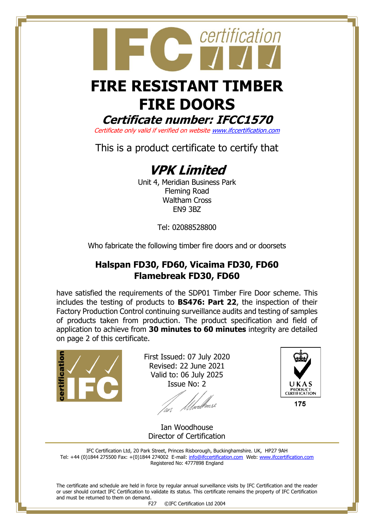# **FIRE RESISTANT TIMBER FIRE DOORS**

certification

**Certificate number: IFCC1570**

Certificate only valid if verified on websit[e www.ifccertification.com](http://www.ifccertification.com/)

This is a product certificate to certify that

# **VPK Limited**

Unit 4, Meridian Business Park Fleming Road Waltham Cross EN9 3BZ

Tel: 02088528800

Who fabricate the following timber fire doors and or doorsets

## **Halspan FD30, FD60, Vicaima FD30, FD60 Flamebreak FD30, FD60**

have satisfied the requirements of the SDP01 Timber Fire Door scheme. This includes the testing of products to **BS476: Part 22**, the inspection of their Factory Production Control continuing surveillance audits and testing of samples of products taken from production. The product specification and field of application to achieve from **30 minutes to 60 minutes** integrity are detailed on page 2 of this certificate.



First Issued: 07 July 2020 Revised: 22 June 2021 Valid to: 06 July 2025 Issue No: 2

f *U*fwel<sup>ff</sup>



175

Ian Woodhouse Director of Certification

IFC Certification Ltd, 20 Park Street, Princes Risborough, Buckinghamshire. UK, HP27 9AH Tel: +44 (0)1844 275500 Fax: +(0)1844 274002 E-mail[: info@ifccertification.com](mailto:info@ifccertification.com) Web: [www.ifccertification.com](http://www.ifccertification.com/) Registered No: 4777898 England

The certificate and schedule are held in force by regular annual surveillance visits by IFC Certification and the reader or user should contact IFC Certification to validate its status. This certificate remains the property of IFC Certification and must be returned to them on demand.